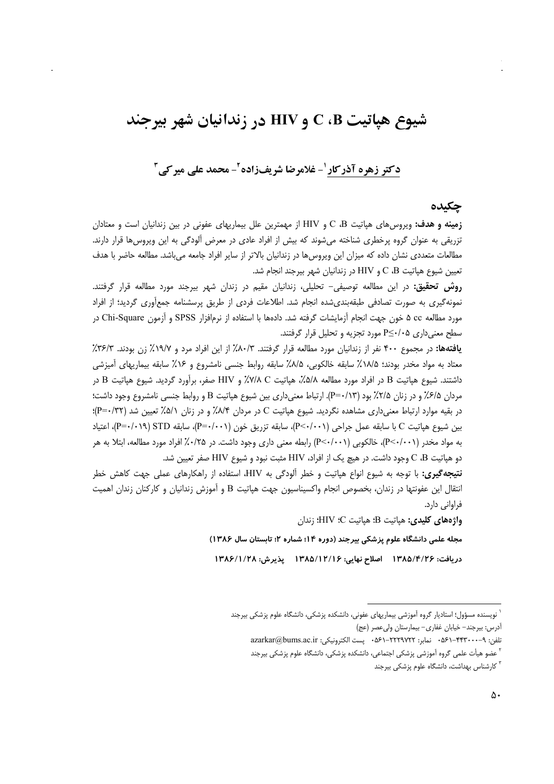# شیوع هیاتیت C ،B و HIV در زندانیان شهر بیرجند

## دکتر زهره آذرکار <sup>۱</sup>- غلامرضا شریفزاده <sup>۲</sup>- محمد علی میر کی <sup>۳</sup>

#### چکیده

**زمینه و هدف:** ویروس۵ای هپاتیت C ،B و HIV از مهمترین علل بیماریهای عفونی در بین زندانیان است و معتادان تزریقی به عنوان گروه پرخطری شناخته میشوند که بیش از افراد عادی در معرض آلودگی به این ویروسها قرار دارند. مطالعات متعددی نشان داده که میزان این ویروسها در زندانیان بالاتر از سایر افراد جامعه میباشد. مطالعه حاضر با هدف تعيين شيوع هياتيت C ،B و HIV در زندانيان شهر بيرجند انجام شد.

**روش تحقیق:** در این مطالعه توصیفی- تحلیلی، زندانیان مقیم در زندان شهر بیرجند مورد مطالعه قرار گرفتند. نمونهگیری به صورت تصادفی طبقهبندی شده انجام شد. اطلاعات فردی از طریق پرسشنامه جمعآوری گردید؛ از افراد مورد مطالعه a cc خون جهت انجام آزمايشات گرفته شد. دادهها با استفاده از نرمافزار SPSS و آزمون Chi-Square در سطح معنی داری P≤٠/٠۵ مورد تجزیه و تحلیل قرار گرفتند.

یافتهها: در مجموع ۴۰۰ نفر از زندانیان مورد مطالعه قرار گرفتند. ۸۰/۳٪ از این افراد مرد و ۱۹/۷٪ زن بودند. ۳۶/۳٪ معتاد به مواد مخدر بودند؛ ۱۸/۵٪ سابقه خالکوبی، ۱۸/۵٪ سابقه روابط جنسی نامشروع و ۱۶٪ سابقه بیماریهای آمیزشی داشتند. شیوع هپاتیت B در افراد مورد مطالعه ۵/۵٪، هپاتیت V/۸ C٪ و HIV صفر، برآورد گردید. شیوع هپاتیت B در مردان ۶/۵٪ و در زنان ۲/۵٪ بود (۱۳/۰۳-P). ارتباط معنىداري بين شيوع هپاتيت B و روابط جنسي نامشروع وجود داشت؛ در بقیه موارد ارتباط معنیداری مشاهده نگردید. شیوع هپاتیت C در مردان ۸/۴٪ و در زنان ۵/۱٪ تعیین شد (P=۰/۳۲)؛ بين شيوع هياتيت C با سابقه عمل جراحي (P<-/··۱)، سابقه تزريق خون (P=۰/۰۰۱)، سابقه P=۰/۰۱۹) [P=۰/۰۱۹]، اعتياد به مواد مخدر (P<۰/۰۰۱)، خالکوبی (P<۰/۰۰۱) رابطه معنی داری وجود داشت. در ۲۵/۰٪ افراد مورد مطالعه، ابتلا به هر دو هیاتیت C ،B وجود داشت. در هیچ یک از افراد، HIV مثبت نبود و شیوع HIV صفر تعیین شد.

**نتیجه گیری:** با توجه به شیوع انواع هیاتیت و خطر آلودگی به HIV، استفاده از راهکارهای عملی جهت کاهش خطر انتقال این عفونتها در زندان، بخصوص انجام واکسیناسیون جهت هپاتیت B و آموزش زندانیان و کارکنان زندان اهمیت فراواني دارد.

واژەهای کلیدی: هیاتیت B؛ هیاتیت C؛ HIV؛ زندان

مجله علمی دانشگاه علوم پزشکی بیرجند (دوره ۱۴؛ شماره ۲؛ تابستان سال ۱۳۸۶)

دريافت: ۱۳۸۵/۴/۲۶ اصلاح نهايي: ۱۳۸۵/۱۲/۱۶ پذيرش: ۱۳۸۶/۱/۲۸

نویسنده مسؤول؛ استادیار گروه آموزشی بیماریهای عفونی، دانشکده پزشکی، دانشگاه علوم پزشکی بیرجند أدرس: بيرجند- خيابان غفاري- بيمارستان وليءصر (عج)

تلفن: ٩-٢٣٣٠٠٠-٤٦١ - 0۶٠ نمابر: ٢٢٢٩٧٢٢-٤۶١ · پست الكترونيكي: azarkar@bums.ac.ir

<sup>&</sup>lt;sup>۲</sup> عضو هیأت علمی گروه آموزشی پزشکی اجتماعی، دانشکده پزشکی، دانشگاه علوم پزشکی بیرجند

<sup>&</sup>lt;sup>۳</sup> کارشناس بهداشت، دانشگاه علوم پزشکی بیرجند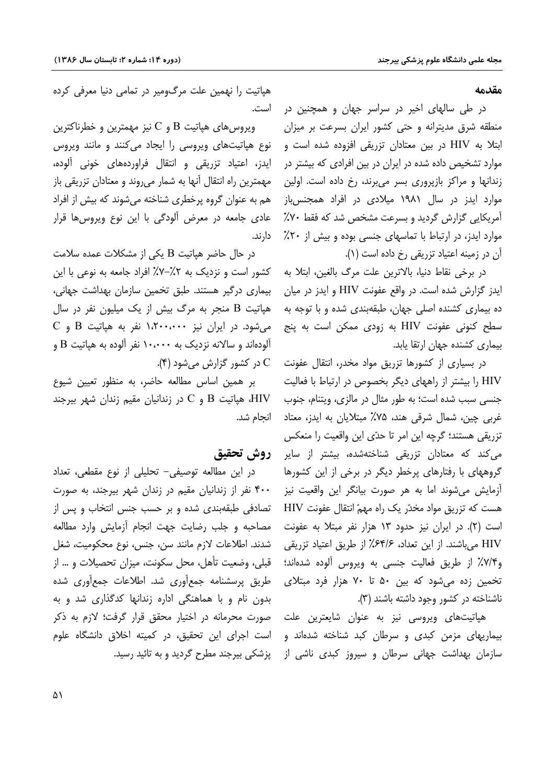مقدمه

در طی سالهای اخیر در سراسر جهان و همچنین در منطقه شرق مدیترانه و حتی کشور ایران بسرعت بر میزان ابتلا به HIV در بین معتادان تزریقی افزوده شده است و موارد تشخیص داده شده در ایران در بین افرادی که بیشتر در زندانها و مراکز بازپروری بسر می برند، رخ داده است. اولین موارد ایدز در سال ۱۹۸۱ میلادی در افراد همجنس،باز آمریکایی گزارش گردید و بسرعت مشخص شد که فقط ۷۰٪ موارد ایدز، در ارتباط با تماسهای جنسی بوده و بیش از ۲۰٪ آن در زمینه اعتیاد تزریقی رخ داده است (۱).

در برخی نقاط دنیا، بالاترین علت مرگ بالغین، ابتلا به ایدز گزارش شده است. در واقع عفونت HIV و ایدز در میان ده بیماری کشنده اصلی جهان، طبقهبندی شده و با توجه به سطح کنونی عفونت HIV به زودی ممکن است به پنج بیماری کشنده جهان ارتقا یابد.

در بسیاری از کشورها تزریق مواد مخدر، انتقال عفونت HIV را بیشتر از راههای دیگر بخصوص در ارتباط با فعالیت جنسی سبب شده است؛ به طور مثال در مالزی، ویتنام، جنوب غربي چين، شمال شرقي هند، ۷۵٪ مېتلايان به ايدز، معتاد تزريقي هستند؛ گرچه اين امر تا حدّى اين واقعيت را منعكس می کند که معتادان تزریقی شناختهشده، بیشتر از سایر گروههای با رفتارهای پرخطر دیگر در برخی از این کشورها آزمایش می شوند اما به هر صورت بیانگر این واقعیت نیز هست که تزریق مواد مخدّر یک راه مهمّ انتقال عفونت HIV است (۲). در ایران نیز حدود ۱۳ هزار نفر مبتلا به عفونت HIV می باشند. از این تعداد، ۶۴/۶٪ از طریق اعتیاد تزریقی و۷/۴٪ از طریق فعالیت جنسی به ویروس آلوده شدهاند؛ تخمین زده می شود که بین ۵۰ تا ۷۰ هزار فرد مبتلای ناشناخته در کشور وجود داشته باشند (۳).

هپاتیتهای ویروسی نیز به عنوان شایعترین علت بیماریهای مزمن کبدی و سرطان کبد شناخته شدهاند و سازمان بهداشت جهانی سرطان و سیروز کبدی ناشی از

هپاتیت را نهمین علت مرگومیر در تمامی دنیا معرفی کرده است.

ویروس های هپاتیت  $\rm{B}$  و  $\rm{C}$  نیز مهمترین و خطرناکترین نوع هپاتیتهای ویروسی را ایجاد میکنند و مانند ویروس ایدز، اعتیاد تزریقی و انتقال فراوردههای خونی آلوده، مهمترین راه انتقال آنها به شمار می روند و معتادان تزریقی باز هم به عنوان گروه پرخطری شناخته می شوند که بیش از افراد عادی جامعه در معرض آلودگی با این نوع ویروس ها قرار دارند.

در حال حاضر هپاتیت B یکی از مشکلات عمده سلامت کشور است و نزدیک به ۰٫۲٪/۲٪ افراد جامعه به نوعی با این بیماری درگیر هستند. طبق تخمین سازمان بهداشت جهانی، هیاتیت B منجر به مرگ بیش از یک میلیون نفر در سال C می شود. در ایران نیز ۱٬۲۰۰٬۰۰۰ نفر به هپاتیت B و آلودهاند و سالانه نزدیک به ۱۰،۰۰۰ نفر آلوده به هیاتیت B و C در کشور گزارش میشود (۴).

بر همین اساس مطالعه حاضر، به منظور تعیین شیوع سهر بیرجند B و C در زندانیان مقیم زندان شهر بیرجند HIV انحام شد.

### روش تحقيق

در این مطالعه توصیفی- تحلیلی از نوع مقطعی، تعداد ۴۰۰ نفر از زندانیان مقیم در زندان شهر بیرجند، به صورت تصادفی طبقهبندی شده و بر حسب جنس انتخاب و پس از مصاحبه وجلب رضايت جهت انجام أزمايش وارد مطالعه شدند. اطلاعات لازم مانند سن، جنس، نوع محکومیت، شغل قبلی، وضعیت تأهل، محل سکونت، میزان تحصیلات و … از طریق پرسشنامه جمع آوری شد. اطلاعات جمع آوری شده بدون نام و با هماهنگی اداره زندانها کدگذاری شد و به صورت محرمانه در اختیار محقق قرار گرفت؛ لازم به ذکر است اجرای این تحقیق، در کمیته اخلاق دانشگاه علوم یزشکی بیرجند مطرح گردید و به تائید رسید.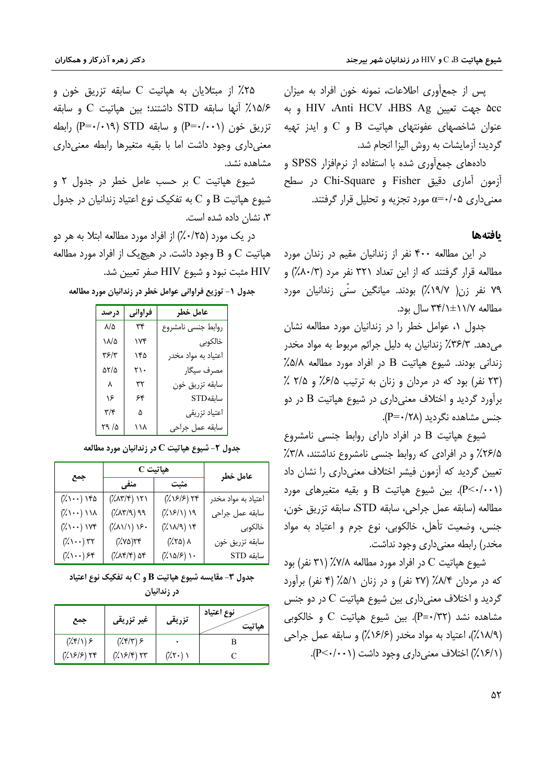یس از جمعآوری اطلاعات، نمونه خون افراد به میزان ۵cc جهت تعيين HIV ،Anti HCV ،HBS Ag و به عنوان شاخصهای عفونتهای هیاتیت  $\, {\bf B} \,$  و  $\, {\bf C} \,$  و ایدز تهیه گردید؛ آزمایشات به روش الیزا انجام شد.

دادههای جمع آوری شده با استفاده از نرمافزار SPSS و آزمون آماري دقيق Fisher و Chi-Square در سطح معنی داری ۵+/۰=c مورد تجزیه و تحلیل قرار گرفتند.

#### بافتهها

در این مطالعه ۴۰۰ نفر از زندانیان مقیم در زندان مورد مطالعه قرار گرفتند که از این تعداد ۳۲۱ نفر مرد (۸۰/۳٪) و ۷۹ نفر زن( ۱۹/۷٪) بودند. میانگین سنّی زندانیان مورد مطالعه ۱۱/۲±۱۱/۲۴ سال بود.

جدول ٠١ عوامل خطر را در زندانيان مورد مطالعه نشان می دهد. ۳۶/۳٪ زندانیان به دلیل جرائم مربوط به مواد مخدر  $\lambda$ زندانی بودند. شیوع هیاتیت  $B$  در افراد مورد مطالعه ۵/۵٪ (۲۳ نفر) بود که در مردان و زنان به ترتیب ۶/۵٪ و ۲/۵٪ برآورد گردید و اختلاف معنیداری در شیوع هپاتیت B در دو جنس مشاهده نگردید (P=۰/۲۸).

شیوع هیاتیت B در افراد دارای روابط جنسی نامشروع ۲۶/۵٪ و در افرادی که روابط جنسی نامشروع نداشتند، ۳/۸٪ تعیین گردید که آزمون فیشر اختلاف معنیداری را نشان داد بین شیوع هیاتیت  $B$  و بقیه متغیرهای مورد). $(P<\cdot/\cdot\cdot)$ مطالعه (سابقه عمل جراحي، سابقه STD، سابقه تزريق خون، جنس، وضعيت تأهل، خالكوبي، نوع جرم و اعتياد به مواد مخدر) رابطه معنی داری وجود نداشت.

شیوع هیاتیت C در افراد مورد مطالعه ۷/۸٪ (۳۱ نفر) بود که در مردان ۸/۴٪ (۲۷ نفر) و در زنان ۵/۱٪ (۴ نفر) برآورد گردید و اختلاف معنی داری بین شیوع هیاتیت C در دو جنس مشاهده نشد (P=٠/٣٢). بين شيوع هياتيت C و خالكوبي (١٨/٩٪)، اعتياد به مواد مخدر (١۶/۶٪) و سابقه عمل جراحي (١/١۶/١) اختلاف معنی داری وجود داشت (١٠٠١/٠٦).

۲۵٪ از مبتلایان به هپاتیت C سابقه تزریق خون و 1۵/۶٪ آنها سابقه STD داشتند؛ بین هیاتیت C و سابقه تزريق خون (P=۰/۰۱۹) و سابقه STD (P=۰/۰۱۹) رابطه معنیداری وجود داشت اما با بقیه متغیرها رابطه معنیداری مشاهده نشد.

شيوع هپاتيت C بر حسب عامل خطر در جدول ٢ و شیوع هیاتیت B و C به تفکیک نوع اعتیاد زندانیان در جدول ۳، نشان داده شده است.

در یک مورد (۲۵٪۰٪) از افراد مورد مطالعه ابتلا به هر دو هپاتیت C و B وجود داشت. در هیچیک از افراد مورد مطالعه HIV مثبت نبود و شيوع HIV صفر تعيين شد.

جدول ۱- توزیع فراوانی عوامل خطر در زندانیان مورد مطالعه

| درصد             | فراواني | عامل خطر            |
|------------------|---------|---------------------|
| $\lambda/\Delta$ | ٣۴      | روابط جنسى نامشروع  |
| ۱۸/۵             | ۱۷۴     | خالكوبى             |
| ۳۶/۳             | ۱۴۵     | اعتياد به مواد مخدر |
| ۵۲/۵             | ٢١٠     | مصرف سيگار          |
| Υ                | ٣٢      | سابقه تزريق خون     |
| ۱۶               | ۶۴      | سابقهSTD            |
| ۳/۴              | ۵       | اعتياد تزريقى       |
| ۲۹ /۵            | ۱۱۸     | سابقه عمل جراحي     |

جدول ۲- شیوع هپاتیت C در زندانیان مورد مطالعه

| جمع                                         | هپاتيت C                                              |                                             | عامل خطر                   |
|---------------------------------------------|-------------------------------------------------------|---------------------------------------------|----------------------------|
|                                             | منفي                                                  | مثبت                                        |                            |
| ۱۴۵ (۱۰۰٪)                                  | $(\lambda \wedge \Upsilon / \Upsilon)$ ) $\Upsilon$ ) | $(\lambda \times \beta)$ ۲۴                 | اعتياد به مواد مخدر        |
| $(\ddot{\wedge} \cdots)$ ) ) $\dot{\wedge}$ | $(\sqrt[2]{\lambda \Upsilon}/9)$ 99                   | $(\frac{1}{2} \sqrt{5}/\sqrt{2})$ ) 9       | سابقه عمل جراحى            |
| $(\lambda \setminus \cdots)$ ) $\forall$    | $(\lambda \wedge \wedge \wedge)$ ) >.                 | $(\lambda \wedge \lambda)$ ) $\lambda$      | خالكوبى                    |
| $(\lambda \setminus \cdot \cdot)$ ۳۲        | ۲۴(۲۷۵)                                               | ۸ (۲۵٪)                                     | سابقه تزريق خون            |
| $(\lambda \setminus \cdot \cdot)$ ۶۴        | ۲۵ (۱۴/۴)                                             | $(\lambda \setminus \Delta/\mathcal{F})$ ). | $\operatorname{STD}$ سابقه |

جدول ٣- مقايسه شيوع هياتيت B و C به تفكيک نوع اعتياد

در زندانیان

| جمع                                           | غیر تزریق <i>ی</i>                                     | تزريقى               | نوع اعتياد<br>هاتت |
|-----------------------------------------------|--------------------------------------------------------|----------------------|--------------------|
| $(\lambda \mathcal{F}/\lambda)$ $\mathcal{F}$ | $(\hat{X}, \hat{Y})$ $\hat{Y}$                         |                      |                    |
| $(\frac{1}{2} \sqrt{5}/5)$                    | $(\frac{1}{2} \times \frac{5}{2})$ $\uparrow \uparrow$ | $(\lambda \Upsilon)$ |                    |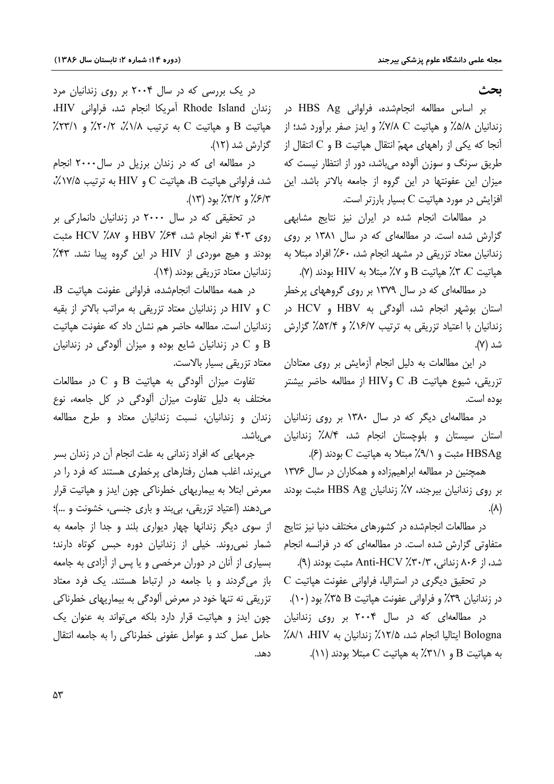ىحث

بر اساس مطالعه انجامشده، فراوانی HBS Ag در زندانیان ۵/۸٪ و هیاتیت V/۸ C٪ و ایدز صفر برآورد شد؛ از آنجا که یکی از راههای مهمّ انتقال هپاتیت B و C انتقال از طریق سرنگ و سوزن آلوده می باشد، دور از انتظار نیست که میزان این عفونتها در این گروه از جامعه بالاتر باشد. این افزایش در مورد هیاتیت C بسیار بارزتر است.

در مطالعات انجام شده در ایران نیز نتایج مشابهی گزارش شده است. در مطالعهای که در سال ۱۳۸۱ بر روی زندانیان معتاد تزریقی در مشهد انجام شد، ۶۰٪ افراد مبتلا به هياتيت C، ٣٪ هياتيت B و ٧٪ مبتلا به HIV بودند (٧).

در مطالعه|ی که در سال ۱۳۷۹ بر روی گروههای پرخطر استان بوشهر انجام شد، آلودگی به HBV و HCV در زندانیان با اعتیاد تزریقی به ترتیب ۱۶/۷٪ و ۵۲/۴٪ گزارش شد (۷).

در این مطالعات به دلیل انجام آزمایش بر روی معتادان تزريقي، شيوع هپاتيت  $\text{C}$  ،  $\text{B}$ و $\text{HIV}$  از مطالعه حاضر بيشتر بوده است.

در مطالعهای دیگر که در سال ۱۳۸۰ بر روی زندانیان استان سیستان و بلوچستان انجام شد، ۸/۴٪ زندانیان HBSAg مثبت و ٩/١٪ مبتلا به هياتيت C بودند (٤).

همچنین در مطالعه ابراهیمزاده و همکاران در سال ۱۳۷۶ بر روی زندانیان بیرجند، ۷٪ زندانیان HBS Ag مثبت بودند  $(\wedge).$ 

در مطالعات انجامشده در کشورهای مختلف دنیا نیز نتایج متفاوتی گزارش شده است. در مطالعهای که در فرانسه انجام شد، از ۸۰۶ زندانی، ۸۰۳٪ Anti-HCV مثبت بودند (۹).

 $\rm C$  در تحقیق دیگری در استرالیا، فراوانی عفونت هیاتیت در زندانیان ۳۹٪ و فراوانی عفونت هیاتیت B ۳۵٪ بود (۱۰).

در مطالعهای که در سال ۲۰۰۴ بر روی زندانیان Bologna ايتاليا انجام شد، ١٢/۵٪ زندانيان به HIV، ١٨٪ به هیاتیت B و ۳۱/۱٪ به هیاتیت C مبتلا بودند (۱۱).

در یک بررسی که در سال ۲۰۰۴ بر روی زندانیان مرد زندان Rhode Island آمريكا انجام شد، فراواني HIV، هپاتیت B و هپاتیت C به ترتیب ۱/۸٪، ۲۰/۲٪ و ۲۳/۱٪. گزارش شد (۱۲).

در مطالعه ای که در زندان برزیل در سال ۲۰۰۰ انجام شد، فراوانی هپاتیت B، هپاتیت C و HIV به ترتیب ۱۷/۵٪،  $(17)$  4),  $(77)$  40 (71).

در تحقیقی که در سال ۲۰۰۰ در زندانیان دانمارکی بر روی ۴۰۳ نفر انجام شد، ۶۴٪ HBV و HCV مثبت بودند و هیچ موردی از HIV در این گروه پیدا نشد. ۴۳٪ زندانیان معتاد تزریقی بودند (۱۴).

در همه مطالعات انجامشده، فراوانی عفونت هیاتیت B، و HIV در زندانیان معتاد تزریقی به مراتب بالاتر از بقیه  $\rm C$ زندانیان است. مطالعه حاضر هم نشان داد که عفونت هپاتیت و C در زندانیان شایع بوده و میزان آلودگی در زندانیان B معتاد تزريقي بسيار بالاست.

تفاوت میزان آلودگی به هپاتیت  $\rm{B}$  و  $\rm{C}$  در مطالعات مختلف به دلیل تفاوت میزان آلودگی در کل جامعه، نوع زندان و زندانیان، نسبت زندانیان معتاد و طرح مطالعه مے باشد.

جرمهایی که افراد زندانی به علت انجام آن در زندان بسر می برند، اغلب همان رفتارهای پرخطری هستند که فرد را در معرض ابتلا به بیماریهای خطرناکی چون ایدز و هیاتیت قرار می دهند (اعتیاد تزریقی، بی بند و باری جنسی، خشونت و …)؛ از سوی دیگر زندانها چهار دیواری بلند و جدا از جامعه به شمار نمی روند. خیلی از زندانیان دوره حبس کوتاه دارند؛ بسیاری از آنان در دوران مرخصی و یا پس از آزادی به جامعه باز می گردند و با جامعه در ارتباط هستند. یک فرد معتاد تزریقی نه تنها خود در معرض آلودگی به بیماریهای خطرناکی چون ایدز و هپاتیت قرار دارد بلکه می تواند به عنوان یک حامل عمل کند و عوامل عفونی خطرناکی را به جامعه انتقال دهد.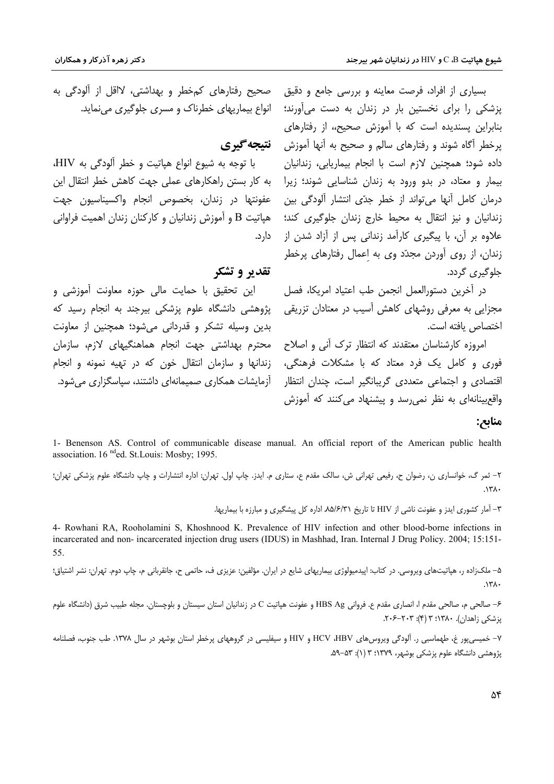بسیاری از افراد، فرصت معاینه و بررسی جامع و دقیق حصحیح رفتارهای کمخطر و بهداشتی، لااقل از آلودگی به پزشکی را برای نخستین بار در زندان به دست میآورند؛ بنابراین پسندیده است که با آموزش صحیح،، از رفتارهای پرخطر آگاه شوند و رفتارهای سالم و صحیح به آنها آموزش گ**نیجه گیری** .<br>داده شود؛ همچنین لازم است با انجام بیماریابی، زندانیان بیمار و معتاد، در بدو ورود به زندان شناسایی شوند؛ زیرا درمان کامل آنها می تواند از خطر جدّی انتشار آلودگی بین زندانیان و نیز انتقال به محیط خارج زندان جلوگیری کند؛ .<br>علاوه بر آن، با پیگیری کارآمد زندانی پس از آزاد شدن از زندان، از روی آوردن مجدّد وی به اعمال رفتارهای پرخطر حلوگیری گردد.

> در آخرین دستورالعمل انجمن طب اعتیاد امریکا، فصل مجزایی به معرفی روشهای کاهش آسیب در معتادان تزریقی اختصاص بافته است.

امروزه کارشناسان معتقدند که انتظار ترک آنی و اصلاح .<br>فوري و کامل يک فرد معتاد که با مشکلات فرهنگي، زندانها و سازمان انتقال خون که در تهيه نمونه و انجام اقتصادی و اجتماعی متعددی گریبانگیر است، چندان انتظار واقع بینانهای به نظر نمی رسد و پیشنهاد می کنند که آموزش

انواع بیماریهای خطرناک و مسری جلوگیری می نماید.

با توجه به شيوع انواع هپاتيت و خطر آلودگي به HIV، به کار بستن راهکارهای عملی جهت کاهش خطر انتقال این عفونتها در زندان، بخصوص انجام واكسيناسيون جهت هپاتیت B و آموزش زندانیان و کارکنان زندان اهمیت فراوانی دار د.

#### تقدیر و تشکر

این تحقیق با حمایت مالی حوزه معاونت آموزشی و یژوهشی دانشگاه علوم پزشکی بیرجند به انجام رسید که بدین وسیله تشکر و قدردانی میشود؛ همچنین از معاونت محترم بهداشتی جهت انجام هماهنگیهای لازم، سازمان آزمایشات همکاری صمیمانهای داشتند، سیاسگزاری می شود.

#### منابع:

1- Benenson AS. Control of communicable disease manual. An official report of the American public health association. 16<sup>nd</sup>ed. St. Louis: Mosby; 1995.

٢– ثمر گ، خوانساري ن، رضوان ح، رفيعي تهراني ش، سالک مقدم ع، ستاري م. ايدز. چاپ اول. تهران: اداره انتشارات و چاپ دانشگاه علوم پزشکي تهران؛  $.171.$ 

۳– آمار کشوری ایدز و عفونت ناشی از HIV تا تاریخ ۸۵/۶/۳۱ اداره کل پیشگیری و مبارزه با بیماریها.

4- Rowhani RA, Rooholamini S, Khoshnood K. Prevalence of HIV infection and other blood-borne infections in incarcerated and non-incarcerated injection drug users (IDUS) in Mashhad, Iran. Internal J Drug Policy. 2004; 15:151-55.

۵– ملکزاده ر، هپاتیتهای ویروسی. در کتاب: اپیدمیولوژی بیماریهای شایع در ایران. مؤلفین: عزیزی ف، حاتمی ح، جانقربانی م، چاپ دوم. تهران: نشر اشتیاق؛  $.171.$ 

۶– صالحی م، صالحی مقدم ا، انصاری مقدم ع. فروانی HBS Ag و عفونت هپاتیت C در زندانیان استان سیستان و بلوچستان. مجله طبیب شرق (دانشگاه علوم یزشکی زاهدان). ۱۳۸۰: ۳ (۴): ۲۰۳–۲۰۶.

۷– خمیسیپور غ، طهماسبی ر. آلودگی ویروسهای HIV و HIV و HIV و سیفلیسی در گروههای پرخطر استان بوشهر در سال ۱۳۷۸. طب جنوب، فصلنامه پژوهشی دانشگاه علوم پزشکی بوشهر، ۱۳۷۹؛ ۳ (۱): ۵۳–۵۹.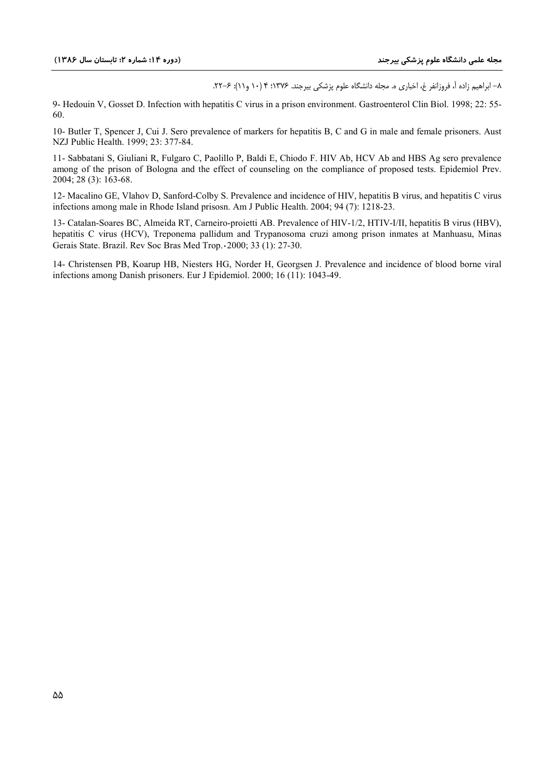٨– ابراهيم زاده آ، فروزانفر غ، اخباري ه. مجله دانشگاه علوم پزشكي بيرجند. ١٣٧۶؛ ١٤ (١٠ و ١١): ۶-٢٢.

9- Hedouin V, Gosset D. Infection with hepatitis C virus in a prison environment. Gastroenterol Clin Biol. 1998; 22: 55-60.

10- Butler T, Spencer J, Cui J, Sero prevalence of markers for hepatitis B, C and G in male and female prisoners. Aust NZJ Public Health. 1999; 23: 377-84.

11- Sabbatani S, Giuliani R, Fulgaro C, Paolillo P, Baldi E, Chiodo F. HIV Ab, HCV Ab and HBS Ag sero prevalence among of the prison of Bologna and the effect of counseling on the compliance of proposed tests. Epidemiol Prev. 2004; 28 (3): 163-68.

12- Macalino GE, Vlahov D, Sanford-Colby S. Prevalence and incidence of HIV, hepatitis B virus, and hepatitis C virus infections among male in Rhode Island prisosn. Am J Public Health. 2004; 94 (7): 1218-23.

13- Catalan-Soares BC, Almeida RT, Carneiro-proietti AB. Prevalence of HIV-1/2, HTIV-I/II, hepatitis B virus (HBV), hepatitis C virus (HCV), Treponema pallidum and Trypanosoma cruzi among prison inmates at Manhuasu, Minas Gerais State. Brazil. Rev Soc Bras Med Trop. - 2000; 33 (1): 27-30.

14- Christensen PB, Koarup HB, Niesters HG, Norder H, Georgsen J. Prevalence and incidence of blood borne viral infections among Danish prisoners. Eur J Epidemiol. 2000; 16 (11): 1043-49.